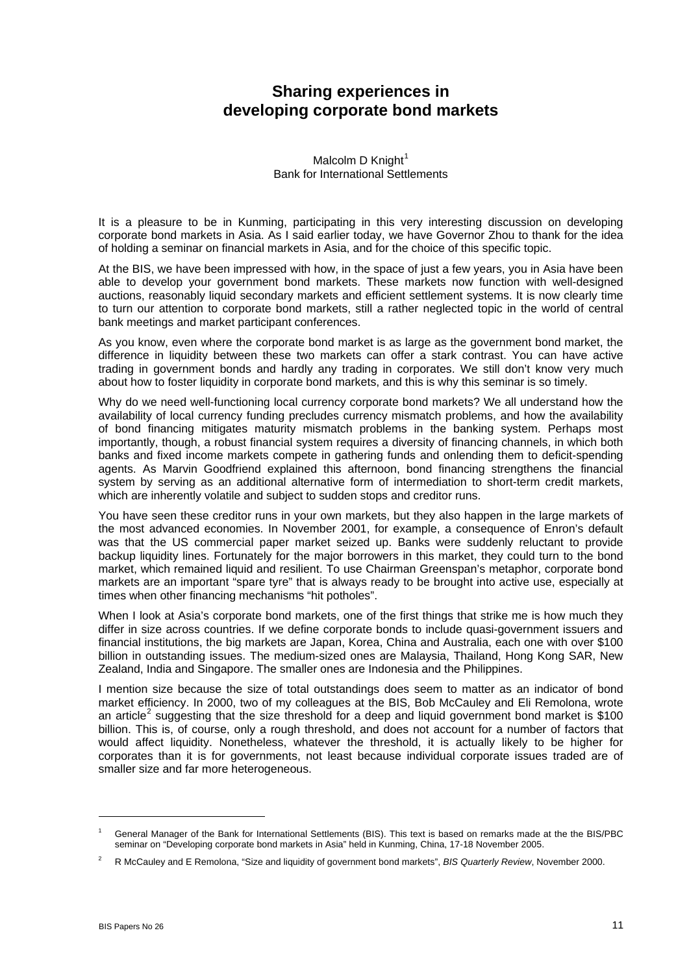## **Sharing experiences in developing corporate bond markets**

Malcolm D Knight $<sup>1</sup>$  $<sup>1</sup>$  $<sup>1</sup>$ </sup> Bank for International Settlements

It is a pleasure to be in Kunming, participating in this very interesting discussion on developing corporate bond markets in Asia. As I said earlier today, we have Governor Zhou to thank for the idea of holding a seminar on financial markets in Asia, and for the choice of this specific topic.

At the BIS, we have been impressed with how, in the space of just a few years, you in Asia have been able to develop your government bond markets. These markets now function with well-designed auctions, reasonably liquid secondary markets and efficient settlement systems. It is now clearly time to turn our attention to corporate bond markets, still a rather neglected topic in the world of central bank meetings and market participant conferences.

As you know, even where the corporate bond market is as large as the government bond market, the difference in liquidity between these two markets can offer a stark contrast. You can have active trading in government bonds and hardly any trading in corporates. We still don't know very much about how to foster liquidity in corporate bond markets, and this is why this seminar is so timely.

Why do we need well-functioning local currency corporate bond markets? We all understand how the availability of local currency funding precludes currency mismatch problems, and how the availability of bond financing mitigates maturity mismatch problems in the banking system. Perhaps most importantly, though, a robust financial system requires a diversity of financing channels, in which both banks and fixed income markets compete in gathering funds and onlending them to deficit-spending agents. As Marvin Goodfriend explained this afternoon, bond financing strengthens the financial system by serving as an additional alternative form of intermediation to short-term credit markets, which are inherently volatile and subject to sudden stops and creditor runs.

You have seen these creditor runs in your own markets, but they also happen in the large markets of the most advanced economies. In November 2001, for example, a consequence of Enron's default was that the US commercial paper market seized up. Banks were suddenly reluctant to provide backup liquidity lines. Fortunately for the major borrowers in this market, they could turn to the bond market, which remained liquid and resilient. To use Chairman Greenspan's metaphor, corporate bond markets are an important "spare tyre" that is always ready to be brought into active use, especially at times when other financing mechanisms "hit potholes".

When I look at Asia's corporate bond markets, one of the first things that strike me is how much they differ in size across countries. If we define corporate bonds to include quasi-government issuers and financial institutions, the big markets are Japan, Korea, China and Australia, each one with over \$100 billion in outstanding issues. The medium-sized ones are Malaysia, Thailand, Hong Kong SAR, New Zealand, India and Singapore. The smaller ones are Indonesia and the Philippines.

I mention size because the size of total outstandings does seem to matter as an indicator of bond market efficiency. In 2000, two of my colleagues at the BIS, Bob McCauley and Eli Remolona, wrote an article<sup>[2](#page-0-1)</sup> suggesting that the size threshold for a deep and liquid government bond market is \$100 billion. This is, of course, only a rough threshold, and does not account for a number of factors that would affect liquidity. Nonetheless, whatever the threshold, it is actually likely to be higher for corporates than it is for governments, not least because individual corporate issues traded are of smaller size and far more heterogeneous.

-

<span id="page-0-0"></span><sup>1</sup> General Manager of the Bank for International Settlements (BIS). This text is based on remarks made at the the BIS/PBC seminar on "Developing corporate bond markets in Asia" held in Kunming, China, 17-18 November 2005.

<span id="page-0-1"></span> $\overline{2}$ R McCauley and E Remolona, "Size and liquidity of government bond markets", *BIS Quarterly Review*, November 2000.